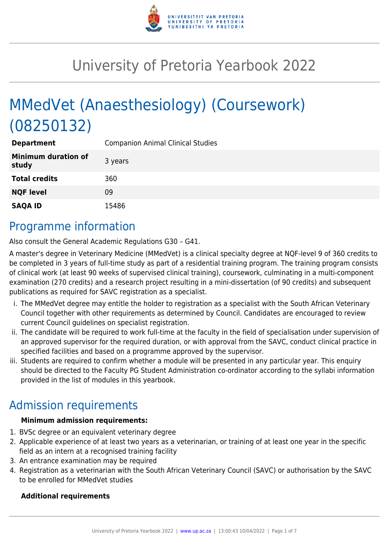

# University of Pretoria Yearbook 2022

# MMedVet (Anaesthesiology) (Coursework) (08250132)

| <b>Department</b>                   | <b>Companion Animal Clinical Studies</b> |
|-------------------------------------|------------------------------------------|
| <b>Minimum duration of</b><br>study | 3 years                                  |
| <b>Total credits</b>                | 360                                      |
| <b>NQF level</b>                    | 09                                       |
| <b>SAQA ID</b>                      | 15486                                    |

### Programme information

Also consult the General Academic Regulations G30 – G41.

A master's degree in Veterinary Medicine (MMedVet) is a clinical specialty degree at NQF-level 9 of 360 credits to be completed in 3 years of full-time study as part of a residential training program. The training program consists of clinical work (at least 90 weeks of supervised clinical training), coursework, culminating in a multi-component examination (270 credits) and a research project resulting in a mini-dissertation (of 90 credits) and subsequent publications as required for SAVC registration as a specialist.

- i. The MMedVet degree may entitle the holder to registration as a specialist with the South African Veterinary Council together with other requirements as determined by Council. Candidates are encouraged to review current Council guidelines on specialist registration.
- ii. The candidate will be required to work full-time at the faculty in the field of specialisation under supervision of an approved supervisor for the required duration, or with approval from the SAVC, conduct clinical practice in specified facilities and based on a programme approved by the supervisor.
- iii. Students are required to confirm whether a module will be presented in any particular year. This enquiry should be directed to the Faculty PG Student Administration co-ordinator according to the syllabi information provided in the list of modules in this yearbook.

# Admission requirements

#### **Minimum admission requirements:**

- 1. BVSc degree or an equivalent veterinary degree
- 2. Applicable experience of at least two years as a veterinarian, or training of at least one year in the specific field as an intern at a recognised training facility
- 3. An entrance examination may be required
- 4. Registration as a veterinarian with the South African Veterinary Council (SAVC) or authorisation by the SAVC to be enrolled for MMedVet studies

#### **Additional requirements**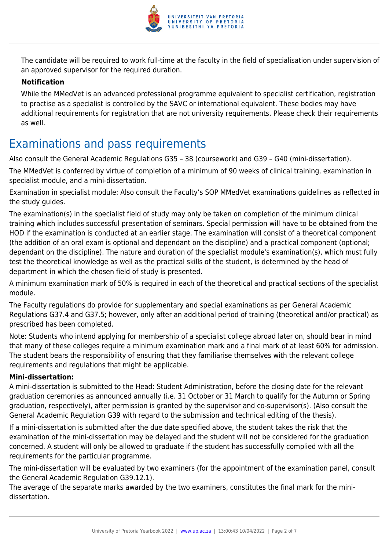

The candidate will be required to work full-time at the faculty in the field of specialisation under supervision of an approved supervisor for the required duration.

#### **Notification**

While the MMedVet is an advanced professional programme equivalent to specialist certification, registration to practise as a specialist is controlled by the SAVC or international equivalent. These bodies may have additional requirements for registration that are not university requirements. Please check their requirements as well.

### Examinations and pass requirements

Also consult the General Academic Regulations G35 – 38 (coursework) and G39 – G40 (mini-dissertation).

The MMedVet is conferred by virtue of completion of a minimum of 90 weeks of clinical training, examination in specialist module, and a mini-dissertation.

Examination in specialist module: Also consult the Faculty's SOP MMedVet examinations guidelines as reflected in the study guides.

The examination(s) in the specialist field of study may only be taken on completion of the minimum clinical training which includes successful presentation of seminars. Special permission will have to be obtained from the HOD if the examination is conducted at an earlier stage. The examination will consist of a theoretical component (the addition of an oral exam is optional and dependant on the discipline) and a practical component (optional; dependant on the discipline). The nature and duration of the specialist module's examination(s), which must fully test the theoretical knowledge as well as the practical skills of the student, is determined by the head of department in which the chosen field of study is presented.

A minimum examination mark of 50% is required in each of the theoretical and practical sections of the specialist module.

The Faculty regulations do provide for supplementary and special examinations as per General Academic Regulations G37.4 and G37.5; however, only after an additional period of training (theoretical and/or practical) as prescribed has been completed.

Note: Students who intend applying for membership of a specialist college abroad later on, should bear in mind that many of these colleges require a minimum examination mark and a final mark of at least 60% for admission. The student bears the responsibility of ensuring that they familiarise themselves with the relevant college requirements and regulations that might be applicable.

#### **Mini-dissertation:**

A mini-dissertation is submitted to the Head: Student Administration, before the closing date for the relevant graduation ceremonies as announced annually (i.e. 31 October or 31 March to qualify for the Autumn or Spring graduation, respectively), after permission is granted by the supervisor and co-supervisor(s). (Also consult the General Academic Regulation G39 with regard to the submission and technical editing of the thesis).

If a mini-dissertation is submitted after the due date specified above, the student takes the risk that the examination of the mini-dissertation may be delayed and the student will not be considered for the graduation concerned. A student will only be allowed to graduate if the student has successfully complied with all the requirements for the particular programme.

The mini-dissertation will be evaluated by two examiners (for the appointment of the examination panel, consult the General Academic Regulation G39.12.1).

The average of the separate marks awarded by the two examiners, constitutes the final mark for the minidissertation.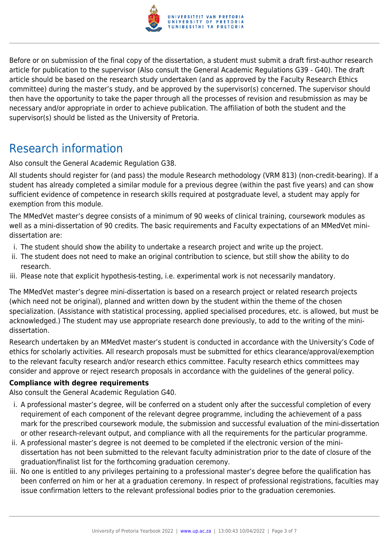

Before or on submission of the final copy of the dissertation, a student must submit a draft first-author research article for publication to the supervisor (Also consult the General Academic Regulations G39 - G40). The draft article should be based on the research study undertaken (and as approved by the Faculty Research Ethics committee) during the master's study, and be approved by the supervisor(s) concerned. The supervisor should then have the opportunity to take the paper through all the processes of revision and resubmission as may be necessary and/or appropriate in order to achieve publication. The affiliation of both the student and the supervisor(s) should be listed as the University of Pretoria.

### Research information

Also consult the General Academic Regulation G38.

All students should register for (and pass) the module Research methodology (VRM 813) (non-credit-bearing). If a student has already completed a similar module for a previous degree (within the past five years) and can show sufficient evidence of competence in research skills required at postgraduate level, a student may apply for exemption from this module.

The MMedVet master's degree consists of a minimum of 90 weeks of clinical training, coursework modules as well as a mini-dissertation of 90 credits. The basic requirements and Faculty expectations of an MMedVet minidissertation are:

- i. The student should show the ability to undertake a research project and write up the project.
- ii. The student does not need to make an original contribution to science, but still show the ability to do research.
- iii. Please note that explicit hypothesis-testing, i.e. experimental work is not necessarily mandatory.

The MMedVet master's degree mini-dissertation is based on a research project or related research projects (which need not be original), planned and written down by the student within the theme of the chosen specialization. (Assistance with statistical processing, applied specialised procedures, etc. is allowed, but must be acknowledged.) The student may use appropriate research done previously, to add to the writing of the minidissertation.

Research undertaken by an MMedVet master's student is conducted in accordance with the University's Code of ethics for scholarly activities. All research proposals must be submitted for ethics clearance/approval/exemption to the relevant faculty research and/or research ethics committee. Faculty research ethics committees may consider and approve or reject research proposals in accordance with the guidelines of the general policy.

#### **Compliance with degree requirements**

Also consult the General Academic Regulation G40.

- i. A professional master's degree, will be conferred on a student only after the successful completion of every requirement of each component of the relevant degree programme, including the achievement of a pass mark for the prescribed coursework module, the submission and successful evaluation of the mini-dissertation or other research-relevant output, and compliance with all the requirements for the particular programme.
- ii. A professional master's degree is not deemed to be completed if the electronic version of the minidissertation has not been submitted to the relevant faculty administration prior to the date of closure of the graduation/finalist list for the forthcoming graduation ceremony.
- iii. No one is entitled to any privileges pertaining to a professional master's degree before the qualification has been conferred on him or her at a graduation ceremony. In respect of professional registrations, faculties may issue confirmation letters to the relevant professional bodies prior to the graduation ceremonies.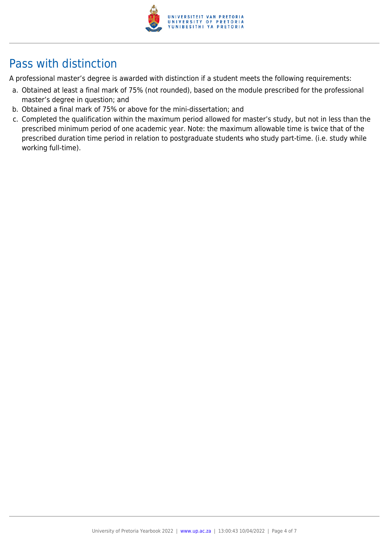

# Pass with distinction

A professional master's degree is awarded with distinction if a student meets the following requirements:

- a. Obtained at least a final mark of 75% (not rounded), based on the module prescribed for the professional master's degree in question; and
- b. Obtained a final mark of 75% or above for the mini-dissertation; and
- c. Completed the qualification within the maximum period allowed for master's study, but not in less than the prescribed minimum period of one academic year. Note: the maximum allowable time is twice that of the prescribed duration time period in relation to postgraduate students who study part-time. (i.e. study while working full-time).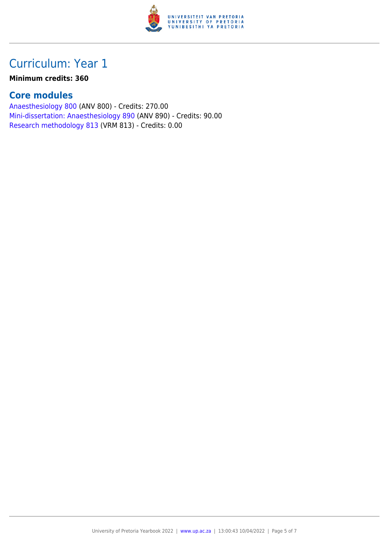

# Curriculum: Year 1

#### **Minimum credits: 360**

### **Core modules**

[Anaesthesiology 800](https://www.up.ac.za/mechanical-and-aeronautical-engineering/yearbooks/2022/modules/view/ANV 800) (ANV 800) - Credits: 270.00 [Mini-dissertation: Anaesthesiology 890](https://www.up.ac.za/mechanical-and-aeronautical-engineering/yearbooks/2022/modules/view/ANV 890) (ANV 890) - Credits: 90.00 [Research methodology 813](https://www.up.ac.za/mechanical-and-aeronautical-engineering/yearbooks/2022/modules/view/VRM 813) (VRM 813) - Credits: 0.00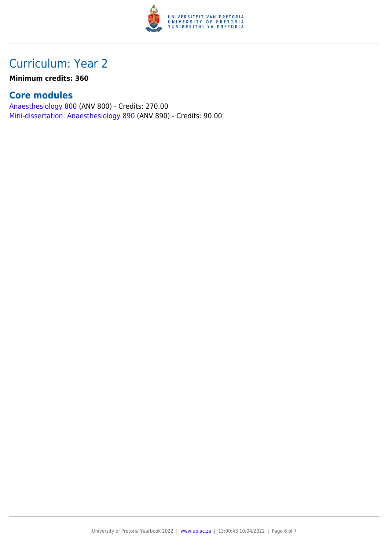

## Curriculum: Year 2

**Minimum credits: 360**

### **Core modules**

[Anaesthesiology 800](https://www.up.ac.za/mechanical-and-aeronautical-engineering/yearbooks/2022/modules/view/ANV 800) (ANV 800) - Credits: 270.00 [Mini-dissertation: Anaesthesiology 890](https://www.up.ac.za/mechanical-and-aeronautical-engineering/yearbooks/2022/modules/view/ANV 890) (ANV 890) - Credits: 90.00